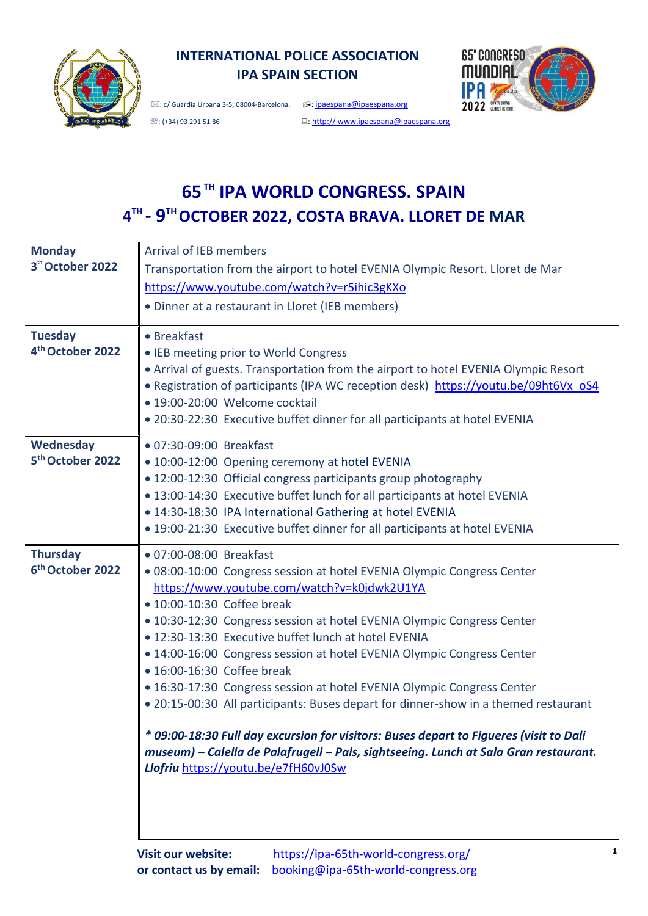

# **INTERNATIONAL POLICE ASSOCIATION IPA SPAIN SECTION**

 $\boxtimes$ : c/ Guardia Urbana 3-5, 08004-Barcelona.  $\textcircled{e}$ : [ipaespana@ipaespana.org](mailto:ipaespana@ipaespana.org)



<sup>靈</sup>: (+34) 93 291 51 86 : http:// [www.ipaespana@ipaespana.org](http://www.ipaespana@ipaespana.org/)

# **65TH IPA WORLD CONGRESS. SPAIN 4 TH - 9 TH OCTOBER 2022, COSTA BRAVA. LLORET DE MAR**

| <b>Monday</b>                | <b>Arrival of IEB members</b>                                                          |  |  |  |  |  |
|------------------------------|----------------------------------------------------------------------------------------|--|--|--|--|--|
| 3 <sup>th</sup> October 2022 | Transportation from the airport to hotel EVENIA Olympic Resort. Lloret de Mar          |  |  |  |  |  |
|                              | https://www.youtube.com/watch?v=r5ihic3gKXo                                            |  |  |  |  |  |
|                              | • Dinner at a restaurant in Lloret (IEB members)                                       |  |  |  |  |  |
|                              |                                                                                        |  |  |  |  |  |
| <b>Tuesday</b>               | • Breakfast                                                                            |  |  |  |  |  |
| 4 <sup>th</sup> October 2022 | • IEB meeting prior to World Congress                                                  |  |  |  |  |  |
|                              | • Arrival of guests. Transportation from the airport to hotel EVENIA Olympic Resort    |  |  |  |  |  |
|                              | • Registration of participants (IPA WC reception desk) https://youtu.be/09ht6Vx oS4    |  |  |  |  |  |
|                              | · 19:00-20:00 Welcome cocktail                                                         |  |  |  |  |  |
|                              | . 20:30-22:30 Executive buffet dinner for all participants at hotel EVENIA             |  |  |  |  |  |
|                              |                                                                                        |  |  |  |  |  |
| Wednesday                    | ● 07:30-09:00 Breakfast                                                                |  |  |  |  |  |
| 5 <sup>th</sup> October 2022 | • 10:00-12:00 Opening ceremony at hotel EVENIA                                         |  |  |  |  |  |
|                              | • 12:00-12:30 Official congress participants group photography                         |  |  |  |  |  |
|                              | . 13:00-14:30 Executive buffet lunch for all participants at hotel EVENIA              |  |  |  |  |  |
|                              | . 14:30-18:30 IPA International Gathering at hotel EVENIA                              |  |  |  |  |  |
|                              | . 19:00-21:30 Executive buffet dinner for all participants at hotel EVENIA             |  |  |  |  |  |
| <b>Thursday</b>              | • 07:00-08:00 Breakfast                                                                |  |  |  |  |  |
|                              |                                                                                        |  |  |  |  |  |
| 6 <sup>th</sup> October 2022 | .08:00-10:00 Congress session at hotel EVENIA Olympic Congress Center                  |  |  |  |  |  |
|                              | https://www.youtube.com/watch?v=k0jdwk2U1YA                                            |  |  |  |  |  |
|                              | • 10:00-10:30 Coffee break                                                             |  |  |  |  |  |
|                              | · 10:30-12:30 Congress session at hotel EVENIA Olympic Congress Center                 |  |  |  |  |  |
|                              | . 12:30-13:30 Executive buffet lunch at hotel EVENIA                                   |  |  |  |  |  |
|                              | • 14:00-16:00 Congress session at hotel EVENIA Olympic Congress Center                 |  |  |  |  |  |
|                              | • 16:00-16:30 Coffee break                                                             |  |  |  |  |  |
|                              | • 16:30-17:30 Congress session at hotel EVENIA Olympic Congress Center                 |  |  |  |  |  |
|                              | • 20:15-00:30 All participants: Buses depart for dinner-show in a themed restaurant    |  |  |  |  |  |
|                              |                                                                                        |  |  |  |  |  |
|                              | * 09:00-18:30 Full day excursion for visitors: Buses depart to Figueres (visit to Dali |  |  |  |  |  |
|                              | museum) – Calella de Palafrugell – Pals, sightseeing. Lunch at Sala Gran restaurant.   |  |  |  |  |  |
|                              | Llofriu https://youtu.be/e7fH60vJ0Sw                                                   |  |  |  |  |  |
|                              |                                                                                        |  |  |  |  |  |
|                              |                                                                                        |  |  |  |  |  |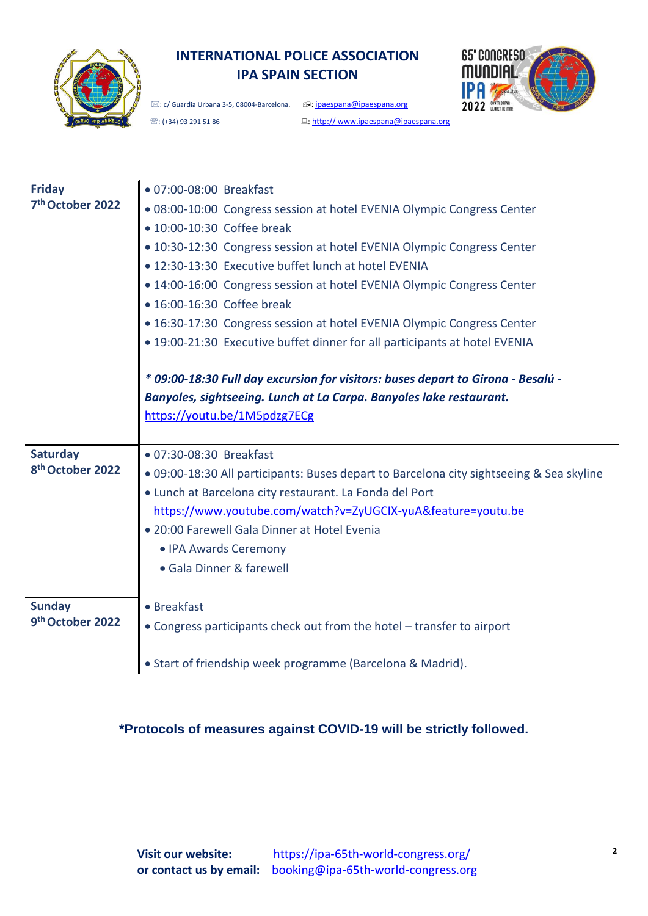

# **INTERNATIONAL POLICE ASSOCIATION IPA SPAIN SECTION**



 $\boxtimes$ : c/ Guardia Urbana 3-5, 08004-Barcelona.  $\textcircled{1}$ : in <u>paespana@ipaespana.org</u>

| <sup>38</sup> : (+34) 93 291 51 86 |  |  |  |
|------------------------------------|--|--|--|
|                                    |  |  |  |

□: http:// [www.ipaespana@ipaespana.org](http://www.ipaespana@ipaespana.org/)

| <b>Friday</b>                | · 07:00-08:00 Breakfast                                                                  |
|------------------------------|------------------------------------------------------------------------------------------|
| 7 <sup>th</sup> October 2022 | . 08:00-10:00 Congress session at hotel EVENIA Olympic Congress Center                   |
|                              | • 10:00-10:30 Coffee break                                                               |
|                              | · 10:30-12:30 Congress session at hotel EVENIA Olympic Congress Center                   |
|                              | . 12:30-13:30 Executive buffet lunch at hotel EVENIA                                     |
|                              | • 14:00-16:00 Congress session at hotel EVENIA Olympic Congress Center                   |
|                              | • 16:00-16:30 Coffee break                                                               |
|                              | · 16:30-17:30 Congress session at hotel EVENIA Olympic Congress Center                   |
|                              | . 19:00-21:30 Executive buffet dinner for all participants at hotel EVENIA               |
|                              |                                                                                          |
|                              | * 09:00-18:30 Full day excursion for visitors: buses depart to Girona - Besalú -         |
|                              | Banyoles, sightseeing. Lunch at La Carpa. Banyoles lake restaurant.                      |
|                              | https://youtu.be/1M5pdzg7ECg                                                             |
|                              |                                                                                          |
|                              |                                                                                          |
| <b>Saturday</b>              | • 07:30-08:30 Breakfast                                                                  |
| 8 <sup>th</sup> October 2022 | . 09:00-18:30 All participants: Buses depart to Barcelona city sightseeing & Sea skyline |
|                              | · Lunch at Barcelona city restaurant. La Fonda del Port                                  |
|                              | https://www.youtube.com/watch?v=ZyUGCIX-yuA&feature=youtu.be                             |
|                              | · 20:00 Farewell Gala Dinner at Hotel Evenia                                             |
|                              | • IPA Awards Ceremony                                                                    |
|                              | · Gala Dinner & farewell                                                                 |
|                              |                                                                                          |
| <b>Sunday</b>                | • Breakfast                                                                              |
| 9th October 2022             | • Congress participants check out from the hotel - transfer to airport                   |
|                              | • Start of friendship week programme (Barcelona & Madrid).                               |

### **\*Protocols of measures against COVID-19 will be strictly followed.**